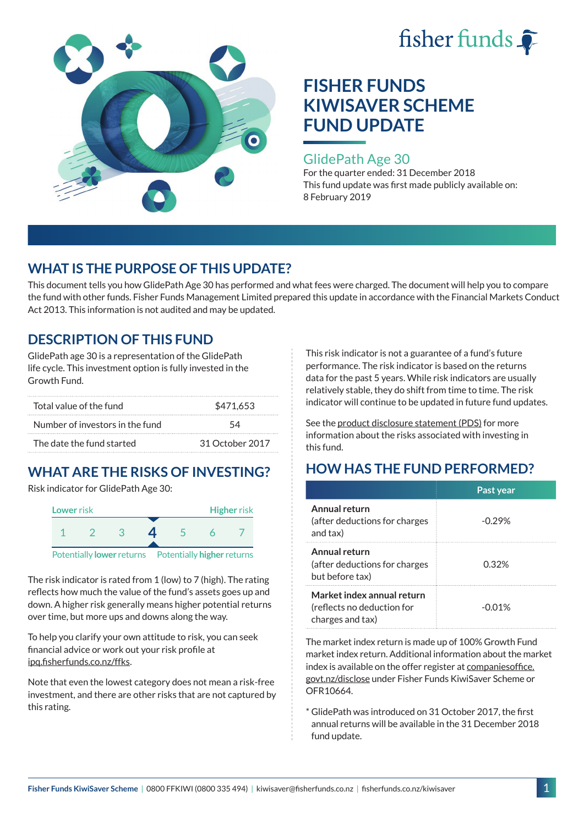



### GlidePath Age 30

For the quarter ended: 31 December 2018 This fund update was first made publicly available on: 8 February 2019

## **WHAT IS THE PURPOSE OF THIS UPDATE?**

This document tells you how GlidePath Age 30 has performed and what fees were charged. The document will help you to compare the fund with other funds. Fisher Funds Management Limited prepared this update in accordance with the Financial Markets Conduct Act 2013. This information is not audited and may be updated.

## **DESCRIPTION OF THIS FUND**

GlidePath age 30 is a representation of the GlidePath life cycle. This investment option is fully invested in the Growth Fund.

| Total value of the fund         | \$471.653       |  |
|---------------------------------|-----------------|--|
| Number of investors in the fund | 54              |  |
| The date the fund started       | 31 October 2017 |  |

# **WHAT ARE THE RISKS OF INVESTING?**

Risk indicator for GlidePath Age 30:



The risk indicator is rated from 1 (low) to 7 (high). The rating

reflects how much the value of the fund's assets goes up and down. A higher risk generally means higher potential returns over time, but more ups and downs along the way.

To help you clarify your own attitude to risk, you can seek financial advice or work out your risk profile at [ipq.fisherfunds.co.nz/ffks](https://ipq.fisherfunds.co.nz/ffks).

Note that even the lowest category does not mean a risk-free investment, and there are other risks that are not captured by this rating.

This risk indicator is not a guarantee of a fund's future performance. The risk indicator is based on the returns data for the past 5 years. While risk indicators are usually relatively stable, they do shift from time to time. The risk indicator will continue to be updated in future fund updates.

See the [product disclosure statement \(PDS\)](https://fisherfunds.co.nz/assets/PDS/Fisher-Funds-KiwiSaver-Scheme-PDS.pdf) for more information about the risks associated with investing in this fund.

## **HOW HAS THE FUND PERFORMED?**

|                                                                              | Past year |
|------------------------------------------------------------------------------|-----------|
| Annual return<br>(after deductions for charges)<br>and tax)                  | $-0.29%$  |
| Annual return<br>(after deductions for charges<br>but before tax)            | 0.32%     |
| Market index annual return<br>(reflects no deduction for<br>charges and tax) | $-0.01%$  |

The market index return is made up of 100% Growth Fund market index return. Additional information about the market index is available on the offer register at [companiesoffice.](http://companiesoffice.govt.nz/disclose) [govt.nz/disclose](http://companiesoffice.govt.nz/disclose) under Fisher Funds KiwiSaver Scheme or OFR10664.

\* GlidePath was introduced on 31 October 2017, the first annual returns will be available in the 31 December 2018 fund update.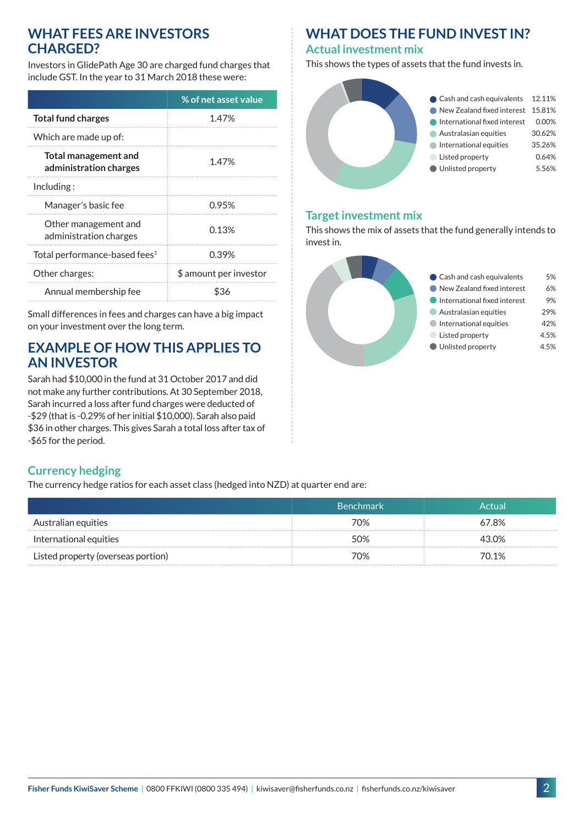### **WHAT FEES ARE INVESTORS CHARGED?**

Investors in GlidePath Age 30 are charged fund charges that include GST. In the year to 31 March 2018 these were:

|                                                | % of net asset value   |  |
|------------------------------------------------|------------------------|--|
| <b>Total fund charges</b>                      | 1.47%                  |  |
| Which are made up of:                          |                        |  |
| Total management and<br>administration charges | 1.47%                  |  |
| Including:                                     |                        |  |
| Manager's basic fee                            | 0.95%                  |  |
| Other management and<br>administration charges | 0.13%                  |  |
| Total performance-based fees <sup>1</sup>      | 0.39%                  |  |
| Other charges:                                 | \$ amount per investor |  |
| Annual membership fee                          | 836                    |  |

Small differences in fees and charges can have a big impact on your investment over the long term.

## **EXAMPLE OF HOW THIS APPLIES TO AN INVESTOR**

Sarah had \$10,000 in the fund at 31 October 2017 and did not make any further contributions. At 30 September 2018, Sarah incurred a loss after fund charges were deducted of -\$29 (that is -0.29% of her initial \$10,000). Sarah also paid \$36 in other charges. This gives Sarah a total loss after tax of -\$65 for the period.

## **WHAT DOES THE FUND INVEST IN?**

#### **Actual investment mix**

This shows the types of assets that the fund invests in.



#### **Target investment mix**

This shows the mix of assets that the fund generally intends to invest in.



### **Currency hedging**

The currency hedge ratios for each asset class (hedged into NZD) at quarter end are:

|                                    | <b>Benchmark</b> | Actual |
|------------------------------------|------------------|--------|
| Australian equities                | 70%              | 67.8%  |
| International equities             | 50%              | 43.0%  |
| Listed property (overseas portion) | 70%              | 70.1%  |